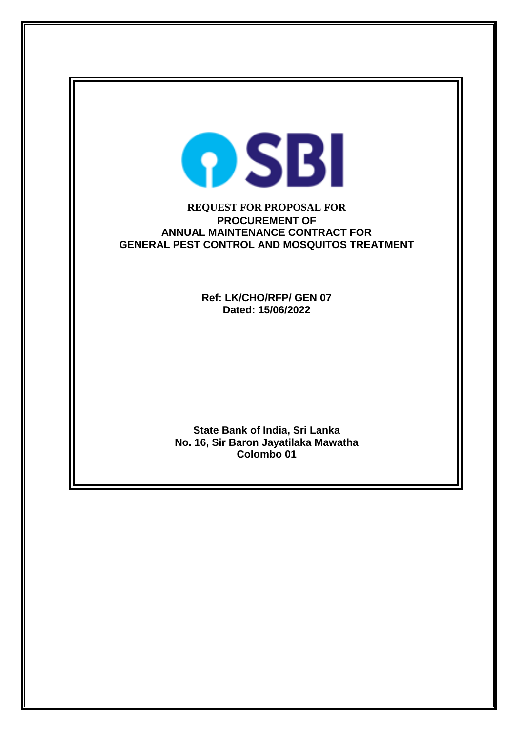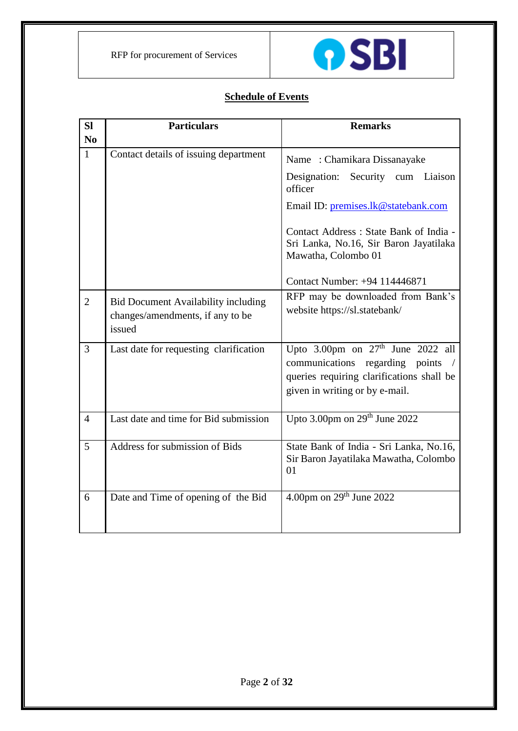

# **Schedule of Events**

| <b>SI</b>      | <b>Particulars</b>                                                                       | <b>Remarks</b>                                                                                                                                                                                                                                                  |
|----------------|------------------------------------------------------------------------------------------|-----------------------------------------------------------------------------------------------------------------------------------------------------------------------------------------------------------------------------------------------------------------|
| N <sub>0</sub> |                                                                                          |                                                                                                                                                                                                                                                                 |
| $\mathbf{1}$   | Contact details of issuing department                                                    | Name: Chamikara Dissanayake<br>Designation: Security cum Liaison<br>officer<br>Email ID: premises.lk@statebank.com<br>Contact Address : State Bank of India -<br>Sri Lanka, No.16, Sir Baron Jayatilaka<br>Mawatha, Colombo 01<br>Contact Number: +94 114446871 |
| $\overline{2}$ | <b>Bid Document Availability including</b><br>changes/amendments, if any to be<br>issued | RFP may be downloaded from Bank's<br>website https://sl.statebank/                                                                                                                                                                                              |
| $\overline{3}$ | Last date for requesting clarification                                                   | Upto 3.00pm on $27th$ June 2022 all<br>communications<br>regarding points /<br>queries requiring clarifications shall be<br>given in writing or by e-mail.                                                                                                      |
| $\overline{4}$ | Last date and time for Bid submission                                                    | Upto 3.00pm on 29 <sup>th</sup> June 2022                                                                                                                                                                                                                       |
| 5              | Address for submission of Bids                                                           | State Bank of India - Sri Lanka, No.16,<br>Sir Baron Jayatilaka Mawatha, Colombo<br>01                                                                                                                                                                          |
| 6              | Date and Time of opening of the Bid                                                      | 4.00pm on $29th$ June 2022                                                                                                                                                                                                                                      |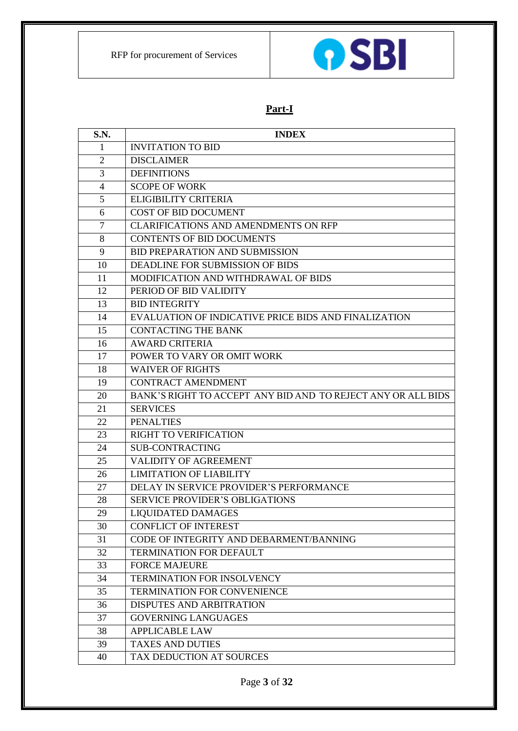

# **Part-I**

| S.N.           | <b>INDEX</b>                                                 |
|----------------|--------------------------------------------------------------|
| 1              | <b>INVITATION TO BID</b>                                     |
| 2              | <b>DISCLAIMER</b>                                            |
| 3              | <b>DEFINITIONS</b>                                           |
| 4              | <b>SCOPE OF WORK</b>                                         |
| 5              | <b>ELIGIBILITY CRITERIA</b>                                  |
| 6              | <b>COST OF BID DOCUMENT</b>                                  |
| $\overline{7}$ | <b>CLARIFICATIONS AND AMENDMENTS ON RFP</b>                  |
| 8              | <b>CONTENTS OF BID DOCUMENTS</b>                             |
| 9              | <b>BID PREPARATION AND SUBMISSION</b>                        |
| 10             | DEADLINE FOR SUBMISSION OF BIDS                              |
| 11             | MODIFICATION AND WITHDRAWAL OF BIDS                          |
| 12             | PERIOD OF BID VALIDITY                                       |
| 13             | <b>BID INTEGRITY</b>                                         |
| 14             | EVALUATION OF INDICATIVE PRICE BIDS AND FINALIZATION         |
| 15             | <b>CONTACTING THE BANK</b>                                   |
| 16             | <b>AWARD CRITERIA</b>                                        |
| 17             | POWER TO VARY OR OMIT WORK                                   |
| 18             | <b>WAIVER OF RIGHTS</b>                                      |
| 19             | <b>CONTRACT AMENDMENT</b>                                    |
| 20             | BANK'S RIGHT TO ACCEPT ANY BID AND TO REJECT ANY OR ALL BIDS |
| 21             | <b>SERVICES</b>                                              |
| 22             | <b>PENALTIES</b>                                             |
| 23             | RIGHT TO VERIFICATION                                        |
| 24             | <b>SUB-CONTRACTING</b>                                       |
| 25             | VALIDITY OF AGREEMENT                                        |
| 26             | <b>LIMITATION OF LIABILITY</b>                               |
| 27             | DELAY IN SERVICE PROVIDER'S PERFORMANCE                      |
| 28             | <b>SERVICE PROVIDER'S OBLIGATIONS</b>                        |
| 29             | LIQUIDATED DAMAGES                                           |
| 30             | <b>CONFLICT OF INTEREST</b>                                  |
| 31             | CODE OF INTEGRITY AND DEBARMENT/BANNING                      |
| 32             | <b>TERMINATION FOR DEFAULT</b>                               |
| 33             | <b>FORCE MAJEURE</b>                                         |
| 34             | TERMINATION FOR INSOLVENCY                                   |
| 35             | <b>TERMINATION FOR CONVENIENCE</b>                           |
| 36             | <b>DISPUTES AND ARBITRATION</b>                              |
| 37             | <b>GOVERNING LANGUAGES</b>                                   |
| 38             | <b>APPLICABLE LAW</b>                                        |
| 39             | <b>TAXES AND DUTIES</b>                                      |
| 40             | TAX DEDUCTION AT SOURCES                                     |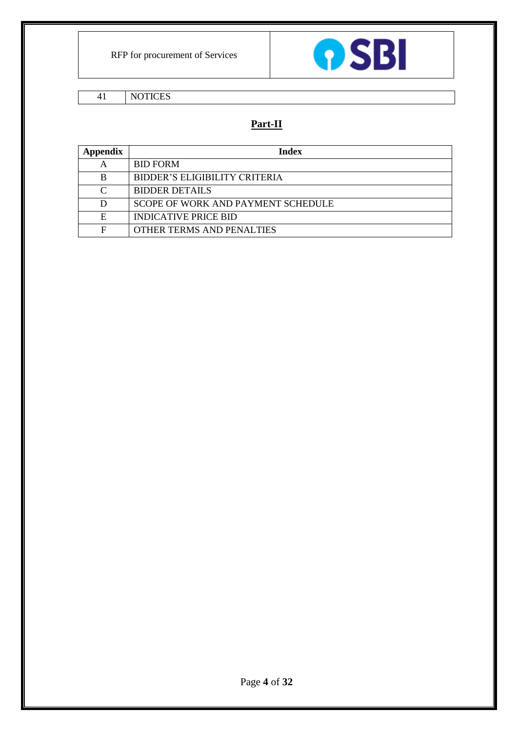

41 NOTICES

# **Part-II**

| Appendix | Index                              |  |
|----------|------------------------------------|--|
| А        | <b>BID FORM</b>                    |  |
| в        | BIDDER'S ELIGIBILITY CRITERIA      |  |
| ⌒        | <b>BIDDER DETAILS</b>              |  |
|          | SCOPE OF WORK AND PAYMENT SCHEDULE |  |
| E        | <b>INDICATIVE PRICE BID</b>        |  |
| F        | OTHER TERMS AND PENALTIES          |  |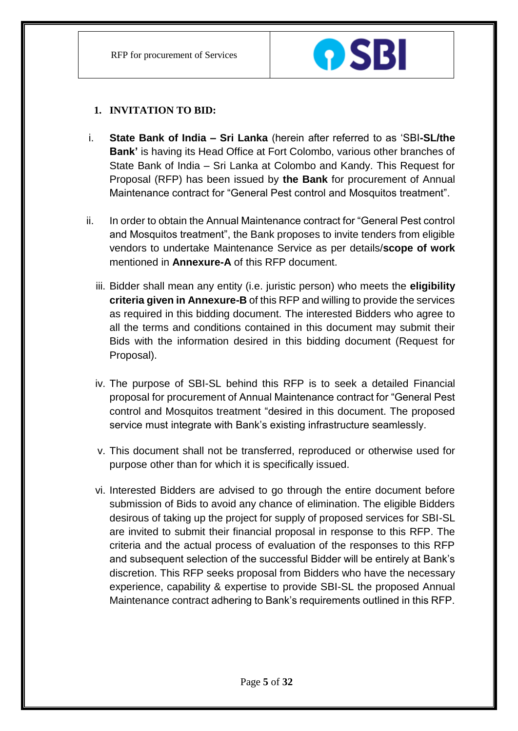

# **1. INVITATION TO BID:**

- i. **State Bank of India – Sri Lanka** (herein after referred to as 'SBI**-SL/the Bank'** is having its Head Office at Fort Colombo, various other branches of State Bank of India – Sri Lanka at Colombo and Kandy. This Request for Proposal (RFP) has been issued by **the Bank** for procurement of Annual Maintenance contract for "General Pest control and Mosquitos treatment".
- ii. In order to obtain the Annual Maintenance contract for "General Pest control and Mosquitos treatment", the Bank proposes to invite tenders from eligible vendors to undertake Maintenance Service as per details/**scope of work**  mentioned in **Annexure-A** of this RFP document.
	- iii. Bidder shall mean any entity (i.e. juristic person) who meets the **eligibility criteria given in Annexure-B** of this RFP and willing to provide the services as required in this bidding document. The interested Bidders who agree to all the terms and conditions contained in this document may submit their Bids with the information desired in this bidding document (Request for Proposal).
	- iv. The purpose of SBI-SL behind this RFP is to seek a detailed Financial proposal for procurement of Annual Maintenance contract for "General Pest control and Mosquitos treatment "desired in this document. The proposed service must integrate with Bank's existing infrastructure seamlessly.
	- v. This document shall not be transferred, reproduced or otherwise used for purpose other than for which it is specifically issued.
	- vi. Interested Bidders are advised to go through the entire document before submission of Bids to avoid any chance of elimination. The eligible Bidders desirous of taking up the project for supply of proposed services for SBI-SL are invited to submit their financial proposal in response to this RFP. The criteria and the actual process of evaluation of the responses to this RFP and subsequent selection of the successful Bidder will be entirely at Bank's discretion. This RFP seeks proposal from Bidders who have the necessary experience, capability & expertise to provide SBI-SL the proposed Annual Maintenance contract adhering to Bank's requirements outlined in this RFP.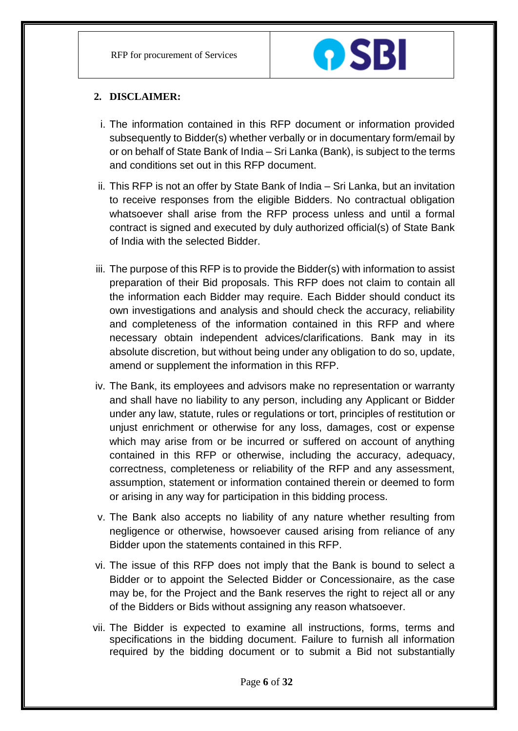

# **2. DISCLAIMER:**

- i. The information contained in this RFP document or information provided subsequently to Bidder(s) whether verbally or in documentary form/email by or on behalf of State Bank of India – Sri Lanka (Bank), is subject to the terms and conditions set out in this RFP document.
- ii. This RFP is not an offer by State Bank of India Sri Lanka, but an invitation to receive responses from the eligible Bidders. No contractual obligation whatsoever shall arise from the RFP process unless and until a formal contract is signed and executed by duly authorized official(s) of State Bank of India with the selected Bidder.
- iii. The purpose of this RFP is to provide the Bidder(s) with information to assist preparation of their Bid proposals. This RFP does not claim to contain all the information each Bidder may require. Each Bidder should conduct its own investigations and analysis and should check the accuracy, reliability and completeness of the information contained in this RFP and where necessary obtain independent advices/clarifications. Bank may in its absolute discretion, but without being under any obligation to do so, update, amend or supplement the information in this RFP.
- iv. The Bank, its employees and advisors make no representation or warranty and shall have no liability to any person, including any Applicant or Bidder under any law, statute, rules or regulations or tort, principles of restitution or unjust enrichment or otherwise for any loss, damages, cost or expense which may arise from or be incurred or suffered on account of anything contained in this RFP or otherwise, including the accuracy, adequacy, correctness, completeness or reliability of the RFP and any assessment, assumption, statement or information contained therein or deemed to form or arising in any way for participation in this bidding process.
- v. The Bank also accepts no liability of any nature whether resulting from negligence or otherwise, howsoever caused arising from reliance of any Bidder upon the statements contained in this RFP.
- vi. The issue of this RFP does not imply that the Bank is bound to select a Bidder or to appoint the Selected Bidder or Concessionaire, as the case may be, for the Project and the Bank reserves the right to reject all or any of the Bidders or Bids without assigning any reason whatsoever.
- vii. The Bidder is expected to examine all instructions, forms, terms and specifications in the bidding document. Failure to furnish all information required by the bidding document or to submit a Bid not substantially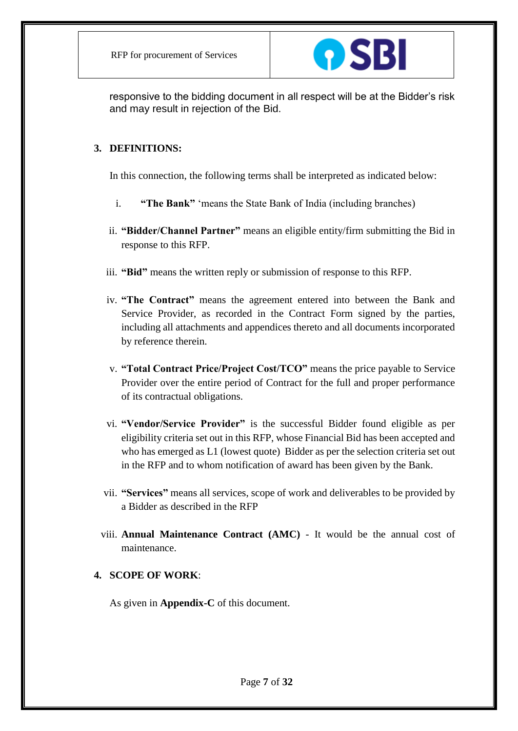

responsive to the bidding document in all respect will be at the Bidder's risk and may result in rejection of the Bid.

#### **3. DEFINITIONS:**

In this connection, the following terms shall be interpreted as indicated below:

- i. **"The Bank"** 'means the State Bank of India (including branches)
- ii. **"Bidder/Channel Partner"** means an eligible entity/firm submitting the Bid in response to this RFP.
- iii. **"Bid"** means the written reply or submission of response to this RFP.
- iv. **"The Contract"** means the agreement entered into between the Bank and Service Provider, as recorded in the Contract Form signed by the parties, including all attachments and appendices thereto and all documents incorporated by reference therein.
- v. **"Total Contract Price/Project Cost/TCO"** means the price payable to Service Provider over the entire period of Contract for the full and proper performance of its contractual obligations.
- vi. **"Vendor/Service Provider"** is the successful Bidder found eligible as per eligibility criteria set out in this RFP, whose Financial Bid has been accepted and who has emerged as L1 (lowest quote) Bidder as per the selection criteria set out in the RFP and to whom notification of award has been given by the Bank.
- vii. **"Services"** means all services, scope of work and deliverables to be provided by a Bidder as described in the RFP
- viii. **Annual Maintenance Contract (AMC)** It would be the annual cost of maintenance.

# **4. SCOPE OF WORK**:

As given in **Appendix-C** of this document.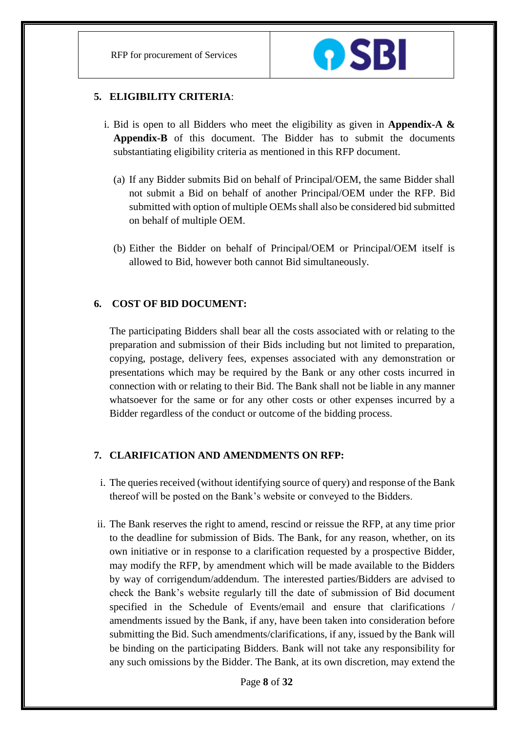RFP for procurement of Services



## **5. ELIGIBILITY CRITERIA**:

- i. Bid is open to all Bidders who meet the eligibility as given in **Appendix-A & Appendix-B** of this document. The Bidder has to submit the documents substantiating eligibility criteria as mentioned in this RFP document.
	- (a) If any Bidder submits Bid on behalf of Principal/OEM, the same Bidder shall not submit a Bid on behalf of another Principal/OEM under the RFP. Bid submitted with option of multiple OEMs shall also be considered bid submitted on behalf of multiple OEM.
	- (b) Either the Bidder on behalf of Principal/OEM or Principal/OEM itself is allowed to Bid, however both cannot Bid simultaneously.

# **6. COST OF BID DOCUMENT:**

The participating Bidders shall bear all the costs associated with or relating to the preparation and submission of their Bids including but not limited to preparation, copying, postage, delivery fees, expenses associated with any demonstration or presentations which may be required by the Bank or any other costs incurred in connection with or relating to their Bid. The Bank shall not be liable in any manner whatsoever for the same or for any other costs or other expenses incurred by a Bidder regardless of the conduct or outcome of the bidding process.

# **7. CLARIFICATION AND AMENDMENTS ON RFP:**

- i. The queries received (without identifying source of query) and response of the Bank thereof will be posted on the Bank's website or conveyed to the Bidders.
- ii. The Bank reserves the right to amend, rescind or reissue the RFP, at any time prior to the deadline for submission of Bids. The Bank, for any reason, whether, on its own initiative or in response to a clarification requested by a prospective Bidder, may modify the RFP, by amendment which will be made available to the Bidders by way of corrigendum/addendum. The interested parties/Bidders are advised to check the Bank's website regularly till the date of submission of Bid document specified in the Schedule of Events/email and ensure that clarifications / amendments issued by the Bank, if any, have been taken into consideration before submitting the Bid. Such amendments/clarifications, if any, issued by the Bank will be binding on the participating Bidders. Bank will not take any responsibility for any such omissions by the Bidder. The Bank, at its own discretion, may extend the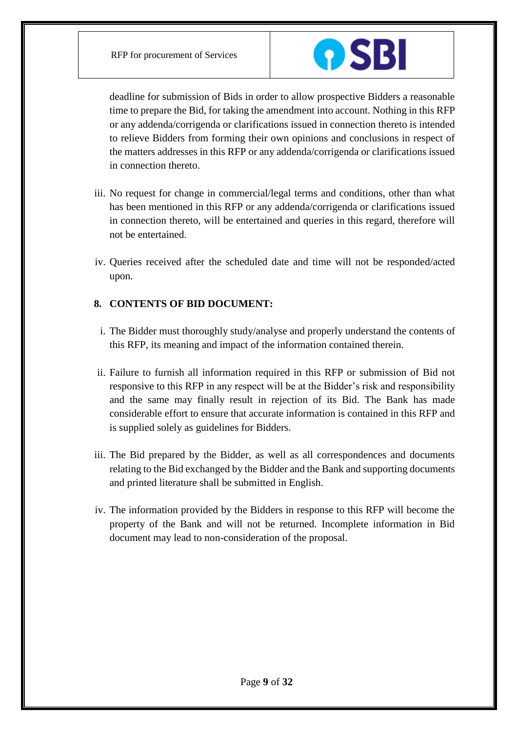

deadline for submission of Bids in order to allow prospective Bidders a reasonable time to prepare the Bid, for taking the amendment into account. Nothing in this RFP or any addenda/corrigenda or clarifications issued in connection thereto is intended to relieve Bidders from forming their own opinions and conclusions in respect of the matters addresses in this RFP or any addenda/corrigenda or clarifications issued in connection thereto.

- iii. No request for change in commercial/legal terms and conditions, other than what has been mentioned in this RFP or any addenda/corrigenda or clarifications issued in connection thereto, will be entertained and queries in this regard, therefore will not be entertained.
- iv. Queries received after the scheduled date and time will not be responded/acted upon.

# **8. CONTENTS OF BID DOCUMENT:**

- i. The Bidder must thoroughly study/analyse and properly understand the contents of this RFP, its meaning and impact of the information contained therein.
- ii. Failure to furnish all information required in this RFP or submission of Bid not responsive to this RFP in any respect will be at the Bidder's risk and responsibility and the same may finally result in rejection of its Bid. The Bank has made considerable effort to ensure that accurate information is contained in this RFP and is supplied solely as guidelines for Bidders.
- iii. The Bid prepared by the Bidder, as well as all correspondences and documents relating to the Bid exchanged by the Bidder and the Bank and supporting documents and printed literature shall be submitted in English.
- iv. The information provided by the Bidders in response to this RFP will become the property of the Bank and will not be returned. Incomplete information in Bid document may lead to non-consideration of the proposal.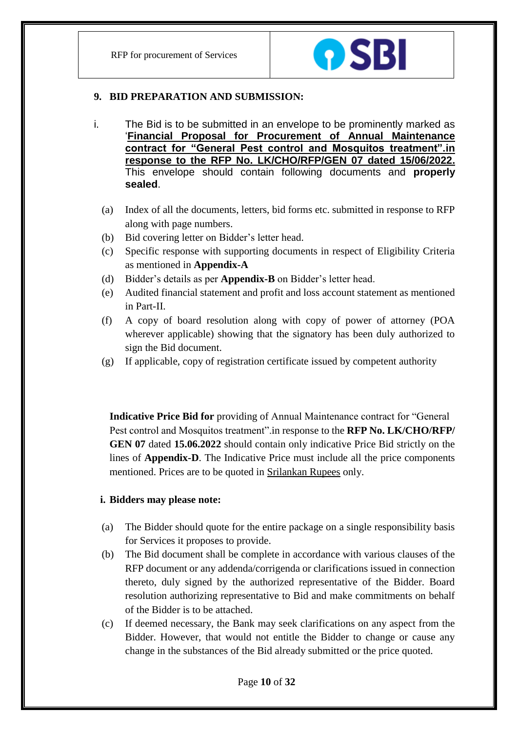

#### **9. BID PREPARATION AND SUBMISSION:**

- i. The Bid is to be submitted in an envelope to be prominently marked as '**Financial Proposal for Procurement of Annual Maintenance contract for "General Pest control and Mosquitos treatment".in response to the RFP No. LK/CHO/RFP/GEN 07 dated 15/06/2022.** This envelope should contain following documents and **properly sealed**.
	- (a) Index of all the documents, letters, bid forms etc. submitted in response to RFP along with page numbers.
	- (b) Bid covering letter on Bidder's letter head.
	- (c) Specific response with supporting documents in respect of Eligibility Criteria as mentioned in **Appendix-A**
	- (d) Bidder's details as per **Appendix-B** on Bidder's letter head.
	- (e) Audited financial statement and profit and loss account statement as mentioned in Part-II.
	- (f) A copy of board resolution along with copy of power of attorney (POA wherever applicable) showing that the signatory has been duly authorized to sign the Bid document.
	- (g) If applicable, copy of registration certificate issued by competent authority

**Indicative Price Bid for** providing of Annual Maintenance contract for "General Pest control and Mosquitos treatment".in response to the **RFP No. LK/CHO/RFP/ GEN 07** dated **15.06.2022** should contain only indicative Price Bid strictly on the lines of **Appendix-D**. The Indicative Price must include all the price components mentioned. Prices are to be quoted in Srilankan Rupees only.

# **i. Bidders may please note:**

- (a) The Bidder should quote for the entire package on a single responsibility basis for Services it proposes to provide.
- (b) The Bid document shall be complete in accordance with various clauses of the RFP document or any addenda/corrigenda or clarifications issued in connection thereto, duly signed by the authorized representative of the Bidder. Board resolution authorizing representative to Bid and make commitments on behalf of the Bidder is to be attached.
- (c) If deemed necessary, the Bank may seek clarifications on any aspect from the Bidder. However, that would not entitle the Bidder to change or cause any change in the substances of the Bid already submitted or the price quoted.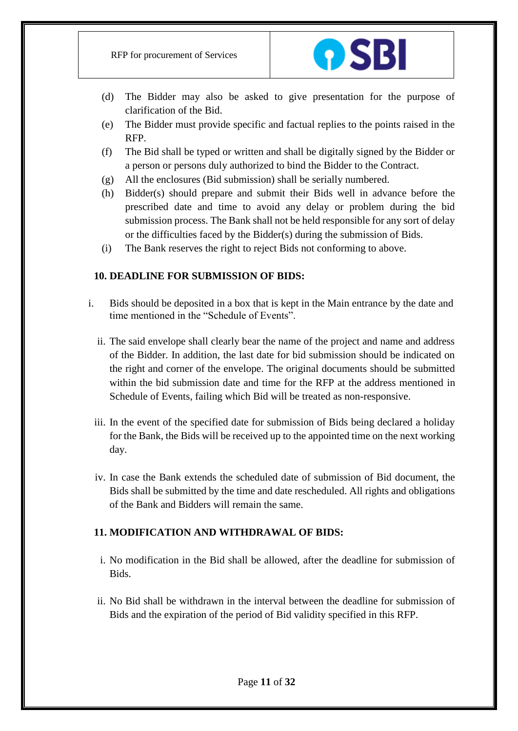

- (d) The Bidder may also be asked to give presentation for the purpose of clarification of the Bid.
- (e) The Bidder must provide specific and factual replies to the points raised in the RFP.
- (f) The Bid shall be typed or written and shall be digitally signed by the Bidder or a person or persons duly authorized to bind the Bidder to the Contract.
- (g) All the enclosures (Bid submission) shall be serially numbered.
- (h) Bidder(s) should prepare and submit their Bids well in advance before the prescribed date and time to avoid any delay or problem during the bid submission process. The Bank shall not be held responsible for any sort of delay or the difficulties faced by the Bidder(s) during the submission of Bids.
- (i) The Bank reserves the right to reject Bids not conforming to above.

# **10. DEADLINE FOR SUBMISSION OF BIDS:**

- i. Bids should be deposited in a box that is kept in the Main entrance by the date and time mentioned in the "Schedule of Events".
	- ii. The said envelope shall clearly bear the name of the project and name and address of the Bidder. In addition, the last date for bid submission should be indicated on the right and corner of the envelope. The original documents should be submitted within the bid submission date and time for the RFP at the address mentioned in Schedule of Events, failing which Bid will be treated as non-responsive.
	- iii. In the event of the specified date for submission of Bids being declared a holiday for the Bank, the Bids will be received up to the appointed time on the next working day.
	- iv. In case the Bank extends the scheduled date of submission of Bid document, the Bids shall be submitted by the time and date rescheduled. All rights and obligations of the Bank and Bidders will remain the same.

# **11. MODIFICATION AND WITHDRAWAL OF BIDS:**

- i. No modification in the Bid shall be allowed, after the deadline for submission of Bids.
- ii. No Bid shall be withdrawn in the interval between the deadline for submission of Bids and the expiration of the period of Bid validity specified in this RFP.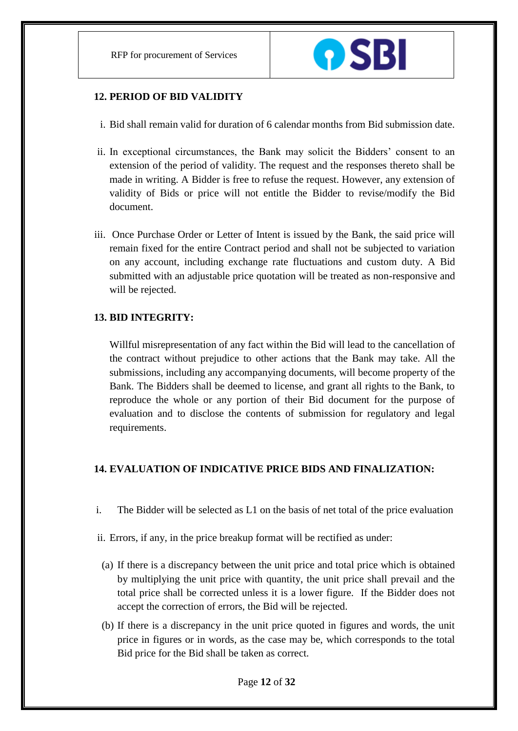

## **12. PERIOD OF BID VALIDITY**

- i. Bid shall remain valid for duration of 6 calendar months from Bid submission date.
- ii. In exceptional circumstances, the Bank may solicit the Bidders' consent to an extension of the period of validity. The request and the responses thereto shall be made in writing. A Bidder is free to refuse the request. However, any extension of validity of Bids or price will not entitle the Bidder to revise/modify the Bid document.
- iii. Once Purchase Order or Letter of Intent is issued by the Bank, the said price will remain fixed for the entire Contract period and shall not be subjected to variation on any account, including exchange rate fluctuations and custom duty. A Bid submitted with an adjustable price quotation will be treated as non-responsive and will be rejected.

#### **13. BID INTEGRITY:**

Willful misrepresentation of any fact within the Bid will lead to the cancellation of the contract without prejudice to other actions that the Bank may take. All the submissions, including any accompanying documents, will become property of the Bank. The Bidders shall be deemed to license, and grant all rights to the Bank, to reproduce the whole or any portion of their Bid document for the purpose of evaluation and to disclose the contents of submission for regulatory and legal requirements.

# **14. EVALUATION OF INDICATIVE PRICE BIDS AND FINALIZATION:**

- i. The Bidder will be selected as L1 on the basis of net total of the price evaluation
- ii. Errors, if any, in the price breakup format will be rectified as under:
- (a) If there is a discrepancy between the unit price and total price which is obtained by multiplying the unit price with quantity, the unit price shall prevail and the total price shall be corrected unless it is a lower figure. If the Bidder does not accept the correction of errors, the Bid will be rejected.
- (b) If there is a discrepancy in the unit price quoted in figures and words, the unit price in figures or in words, as the case may be, which corresponds to the total Bid price for the Bid shall be taken as correct.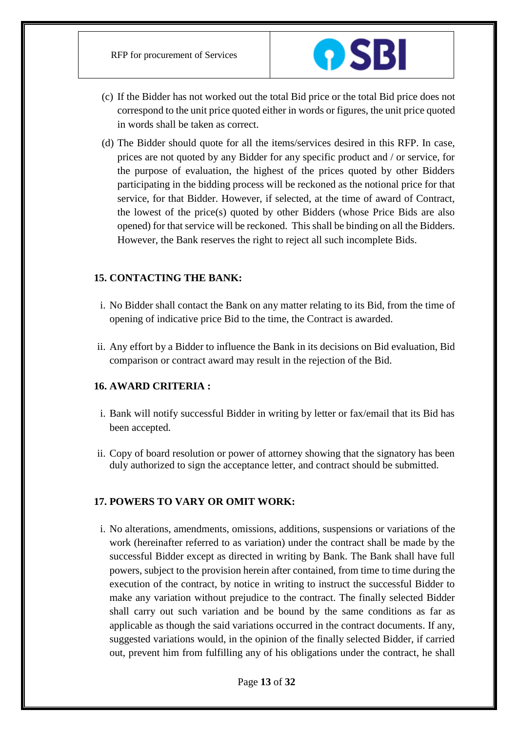

- (c) If the Bidder has not worked out the total Bid price or the total Bid price does not correspond to the unit price quoted either in words or figures, the unit price quoted in words shall be taken as correct.
- (d) The Bidder should quote for all the items/services desired in this RFP. In case, prices are not quoted by any Bidder for any specific product and / or service, for the purpose of evaluation, the highest of the prices quoted by other Bidders participating in the bidding process will be reckoned as the notional price for that service, for that Bidder. However, if selected, at the time of award of Contract, the lowest of the price(s) quoted by other Bidders (whose Price Bids are also opened) for that service will be reckoned. This shall be binding on all the Bidders. However, the Bank reserves the right to reject all such incomplete Bids.

# **15. CONTACTING THE BANK:**

- i. No Bidder shall contact the Bank on any matter relating to its Bid, from the time of opening of indicative price Bid to the time, the Contract is awarded.
- ii. Any effort by a Bidder to influence the Bank in its decisions on Bid evaluation, Bid comparison or contract award may result in the rejection of the Bid.

# **16. AWARD CRITERIA :**

- i. Bank will notify successful Bidder in writing by letter or fax/email that its Bid has been accepted.
- ii. Copy of board resolution or power of attorney showing that the signatory has been duly authorized to sign the acceptance letter, and contract should be submitted.

# **17. POWERS TO VARY OR OMIT WORK:**

i. No alterations, amendments, omissions, additions, suspensions or variations of the work (hereinafter referred to as variation) under the contract shall be made by the successful Bidder except as directed in writing by Bank. The Bank shall have full powers, subject to the provision herein after contained, from time to time during the execution of the contract, by notice in writing to instruct the successful Bidder to make any variation without prejudice to the contract. The finally selected Bidder shall carry out such variation and be bound by the same conditions as far as applicable as though the said variations occurred in the contract documents. If any, suggested variations would, in the opinion of the finally selected Bidder, if carried out, prevent him from fulfilling any of his obligations under the contract, he shall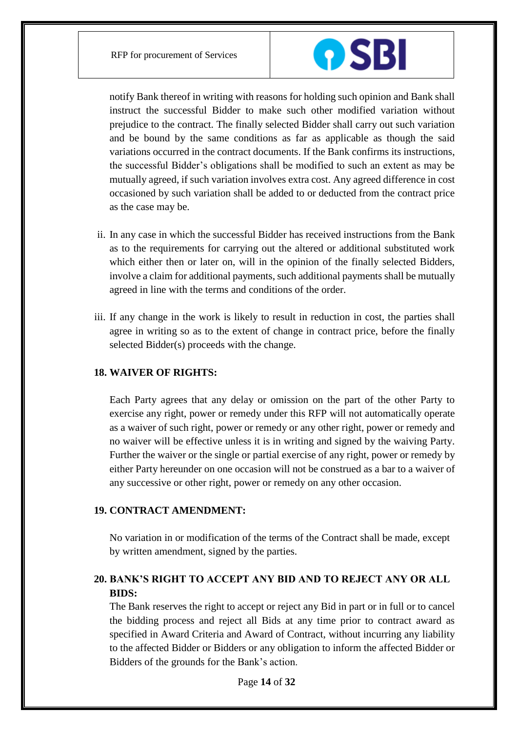

notify Bank thereof in writing with reasons for holding such opinion and Bank shall instruct the successful Bidder to make such other modified variation without prejudice to the contract. The finally selected Bidder shall carry out such variation and be bound by the same conditions as far as applicable as though the said variations occurred in the contract documents. If the Bank confirms its instructions, the successful Bidder's obligations shall be modified to such an extent as may be mutually agreed, if such variation involves extra cost. Any agreed difference in cost occasioned by such variation shall be added to or deducted from the contract price as the case may be.

- ii. In any case in which the successful Bidder has received instructions from the Bank as to the requirements for carrying out the altered or additional substituted work which either then or later on, will in the opinion of the finally selected Bidders, involve a claim for additional payments, such additional payments shall be mutually agreed in line with the terms and conditions of the order.
- iii. If any change in the work is likely to result in reduction in cost, the parties shall agree in writing so as to the extent of change in contract price, before the finally selected Bidder(s) proceeds with the change.

#### **18. WAIVER OF RIGHTS:**

Each Party agrees that any delay or omission on the part of the other Party to exercise any right, power or remedy under this RFP will not automatically operate as a waiver of such right, power or remedy or any other right, power or remedy and no waiver will be effective unless it is in writing and signed by the waiving Party. Further the waiver or the single or partial exercise of any right, power or remedy by either Party hereunder on one occasion will not be construed as a bar to a waiver of any successive or other right, power or remedy on any other occasion.

#### **19. CONTRACT AMENDMENT:**

No variation in or modification of the terms of the Contract shall be made, except by written amendment, signed by the parties.

# **20. BANK'S RIGHT TO ACCEPT ANY BID AND TO REJECT ANY OR ALL BIDS:**

The Bank reserves the right to accept or reject any Bid in part or in full or to cancel the bidding process and reject all Bids at any time prior to contract award as specified in Award Criteria and Award of Contract, without incurring any liability to the affected Bidder or Bidders or any obligation to inform the affected Bidder or Bidders of the grounds for the Bank's action.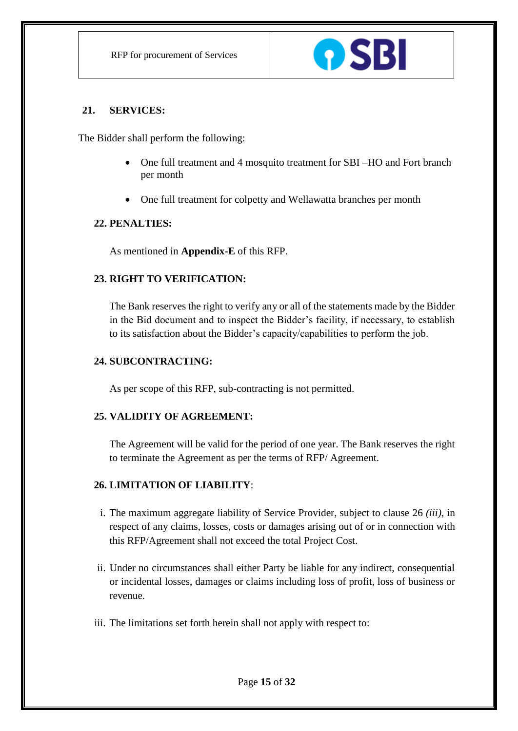

# **21. SERVICES:**

The Bidder shall perform the following:

- One full treatment and 4 mosquito treatment for SBI –HO and Fort branch per month
- One full treatment for colpetty and Wellawatta branches per month

# **22. PENALTIES:**

As mentioned in **Appendix-E** of this RFP.

# **23. RIGHT TO VERIFICATION:**

The Bank reserves the right to verify any or all of the statements made by the Bidder in the Bid document and to inspect the Bidder's facility, if necessary, to establish to its satisfaction about the Bidder's capacity/capabilities to perform the job.

# **24. SUBCONTRACTING:**

As per scope of this RFP, sub-contracting is not permitted.

# **25. VALIDITY OF AGREEMENT:**

The Agreement will be valid for the period of one year. The Bank reserves the right to terminate the Agreement as per the terms of RFP/ Agreement.

# **26. LIMITATION OF LIABILITY**:

- i. The maximum aggregate liability of Service Provider, subject to clause 26 *(iii)*, in respect of any claims, losses, costs or damages arising out of or in connection with this RFP/Agreement shall not exceed the total Project Cost.
- ii. Under no circumstances shall either Party be liable for any indirect, consequential or incidental losses, damages or claims including loss of profit, loss of business or revenue.
- iii. The limitations set forth herein shall not apply with respect to: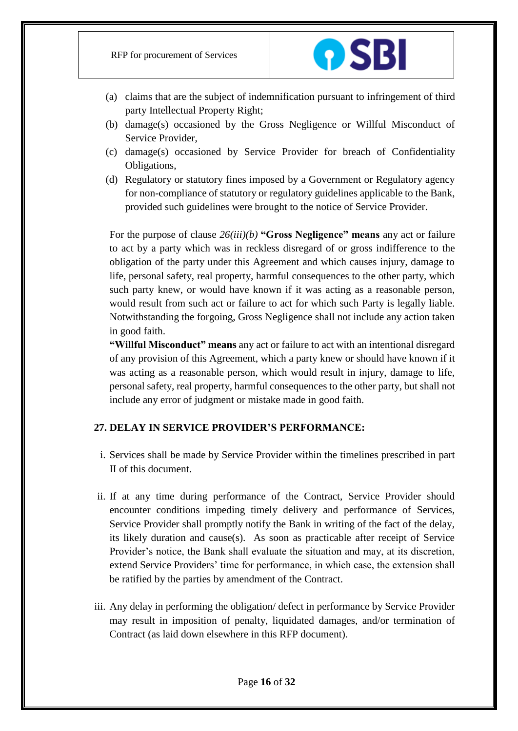

- (a) claims that are the subject of indemnification pursuant to infringement of third party Intellectual Property Right;
- (b) damage(s) occasioned by the Gross Negligence or Willful Misconduct of Service Provider,
- (c) damage(s) occasioned by Service Provider for breach of Confidentiality Obligations,
- (d) Regulatory or statutory fines imposed by a Government or Regulatory agency for non-compliance of statutory or regulatory guidelines applicable to the Bank, provided such guidelines were brought to the notice of Service Provider.

For the purpose of clause *26(iii)(b)* **"Gross Negligence" means** any act or failure to act by a party which was in reckless disregard of or gross indifference to the obligation of the party under this Agreement and which causes injury, damage to life, personal safety, real property, harmful consequences to the other party, which such party knew, or would have known if it was acting as a reasonable person, would result from such act or failure to act for which such Party is legally liable. Notwithstanding the forgoing, Gross Negligence shall not include any action taken in good faith.

**"Willful Misconduct" means** any act or failure to act with an intentional disregard of any provision of this Agreement, which a party knew or should have known if it was acting as a reasonable person, which would result in injury, damage to life, personal safety, real property, harmful consequences to the other party, but shall not include any error of judgment or mistake made in good faith.

# **27. DELAY IN SERVICE PROVIDER'S PERFORMANCE:**

- i. Services shall be made by Service Provider within the timelines prescribed in part II of this document.
- ii. If at any time during performance of the Contract, Service Provider should encounter conditions impeding timely delivery and performance of Services, Service Provider shall promptly notify the Bank in writing of the fact of the delay, its likely duration and cause(s). As soon as practicable after receipt of Service Provider's notice, the Bank shall evaluate the situation and may, at its discretion, extend Service Providers' time for performance, in which case, the extension shall be ratified by the parties by amendment of the Contract.
- iii. Any delay in performing the obligation/ defect in performance by Service Provider may result in imposition of penalty, liquidated damages, and/or termination of Contract (as laid down elsewhere in this RFP document).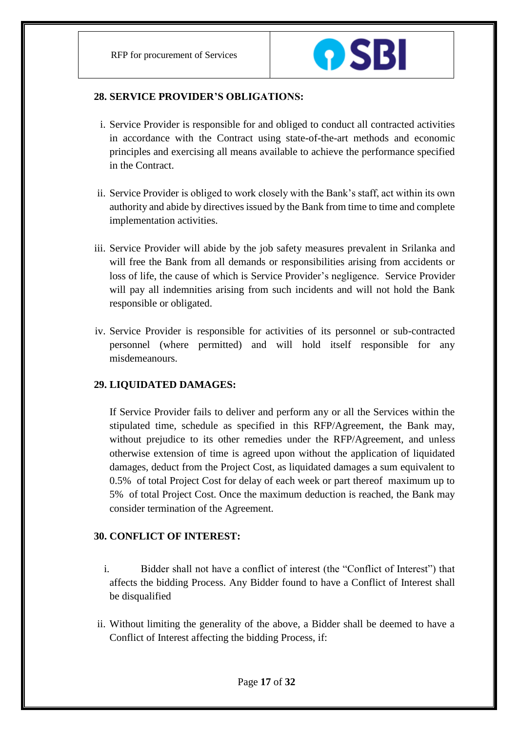

#### **28. SERVICE PROVIDER'S OBLIGATIONS:**

- i. Service Provider is responsible for and obliged to conduct all contracted activities in accordance with the Contract using state-of-the-art methods and economic principles and exercising all means available to achieve the performance specified in the Contract.
- ii. Service Provider is obliged to work closely with the Bank's staff, act within its own authority and abide by directives issued by the Bank from time to time and complete implementation activities.
- iii. Service Provider will abide by the job safety measures prevalent in Srilanka and will free the Bank from all demands or responsibilities arising from accidents or loss of life, the cause of which is Service Provider's negligence. Service Provider will pay all indemnities arising from such incidents and will not hold the Bank responsible or obligated.
- iv. Service Provider is responsible for activities of its personnel or sub-contracted personnel (where permitted) and will hold itself responsible for any misdemeanours.

# **29. LIQUIDATED DAMAGES:**

If Service Provider fails to deliver and perform any or all the Services within the stipulated time, schedule as specified in this RFP/Agreement, the Bank may, without prejudice to its other remedies under the RFP/Agreement, and unless otherwise extension of time is agreed upon without the application of liquidated damages, deduct from the Project Cost, as liquidated damages a sum equivalent to 0.5% of total Project Cost for delay of each week or part thereof maximum up to 5% of total Project Cost. Once the maximum deduction is reached, the Bank may consider termination of the Agreement.

# **30. CONFLICT OF INTEREST:**

- i. Bidder shall not have a conflict of interest (the "Conflict of Interest") that affects the bidding Process. Any Bidder found to have a Conflict of Interest shall be disqualified
- ii. Without limiting the generality of the above, a Bidder shall be deemed to have a Conflict of Interest affecting the bidding Process, if: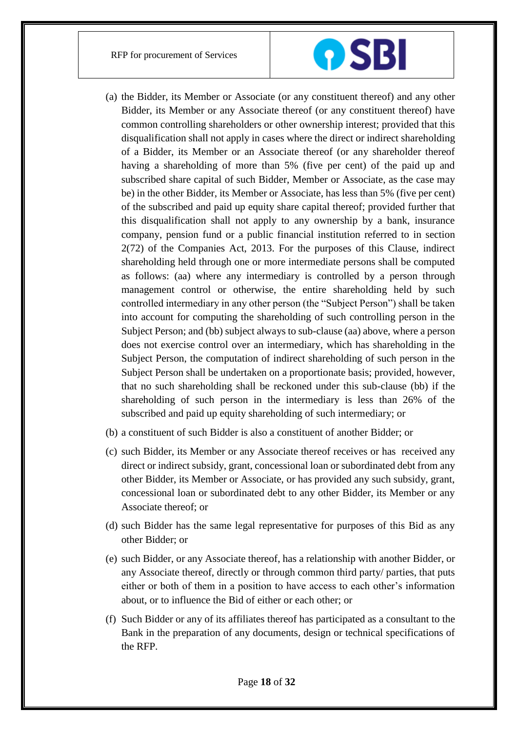

- (a) the Bidder, its Member or Associate (or any constituent thereof) and any other Bidder, its Member or any Associate thereof (or any constituent thereof) have common controlling shareholders or other ownership interest; provided that this disqualification shall not apply in cases where the direct or indirect shareholding of a Bidder, its Member or an Associate thereof (or any shareholder thereof having a shareholding of more than 5% (five per cent) of the paid up and subscribed share capital of such Bidder, Member or Associate, as the case may be) in the other Bidder, its Member or Associate, has less than 5% (five per cent) of the subscribed and paid up equity share capital thereof; provided further that this disqualification shall not apply to any ownership by a bank, insurance company, pension fund or a public financial institution referred to in section 2(72) of the Companies Act, 2013. For the purposes of this Clause, indirect shareholding held through one or more intermediate persons shall be computed as follows: (aa) where any intermediary is controlled by a person through management control or otherwise, the entire shareholding held by such controlled intermediary in any other person (the "Subject Person") shall be taken into account for computing the shareholding of such controlling person in the Subject Person; and (bb) subject always to sub-clause (aa) above, where a person does not exercise control over an intermediary, which has shareholding in the Subject Person, the computation of indirect shareholding of such person in the Subject Person shall be undertaken on a proportionate basis; provided, however, that no such shareholding shall be reckoned under this sub-clause (bb) if the shareholding of such person in the intermediary is less than 26% of the subscribed and paid up equity shareholding of such intermediary; or
- (b) a constituent of such Bidder is also a constituent of another Bidder; or
- (c) such Bidder, its Member or any Associate thereof receives or has received any direct or indirect subsidy, grant, concessional loan or subordinated debt from any other Bidder, its Member or Associate, or has provided any such subsidy, grant, concessional loan or subordinated debt to any other Bidder, its Member or any Associate thereof; or
- (d) such Bidder has the same legal representative for purposes of this Bid as any other Bidder; or
- (e) such Bidder, or any Associate thereof, has a relationship with another Bidder, or any Associate thereof, directly or through common third party/ parties, that puts either or both of them in a position to have access to each other's information about, or to influence the Bid of either or each other; or
- (f) Such Bidder or any of its affiliates thereof has participated as a consultant to the Bank in the preparation of any documents, design or technical specifications of the RFP.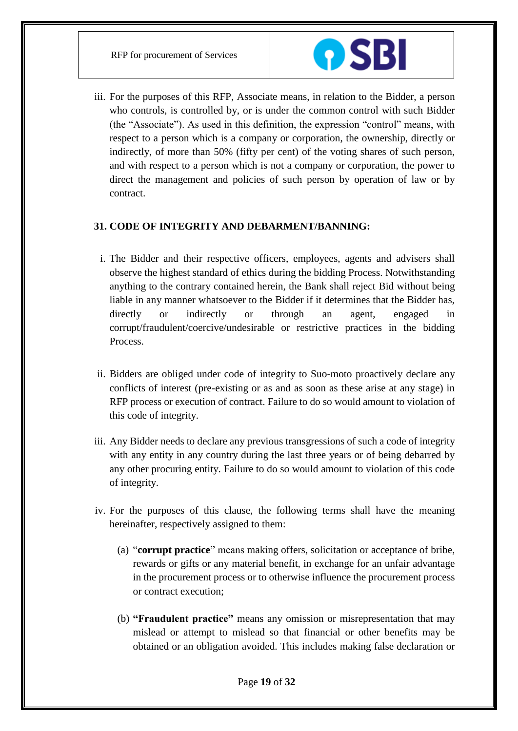

iii. For the purposes of this RFP, Associate means, in relation to the Bidder, a person who controls, is controlled by, or is under the common control with such Bidder (the "Associate"). As used in this definition, the expression "control" means, with respect to a person which is a company or corporation, the ownership, directly or indirectly, of more than 50% (fifty per cent) of the voting shares of such person, and with respect to a person which is not a company or corporation, the power to direct the management and policies of such person by operation of law or by contract.

# **31. CODE OF INTEGRITY AND DEBARMENT/BANNING:**

- i. The Bidder and their respective officers, employees, agents and advisers shall observe the highest standard of ethics during the bidding Process. Notwithstanding anything to the contrary contained herein, the Bank shall reject Bid without being liable in any manner whatsoever to the Bidder if it determines that the Bidder has, directly or indirectly or through an agent, engaged in corrupt/fraudulent/coercive/undesirable or restrictive practices in the bidding Process.
- ii. Bidders are obliged under code of integrity to Suo-moto proactively declare any conflicts of interest (pre-existing or as and as soon as these arise at any stage) in RFP process or execution of contract. Failure to do so would amount to violation of this code of integrity.
- iii. Any Bidder needs to declare any previous transgressions of such a code of integrity with any entity in any country during the last three years or of being debarred by any other procuring entity. Failure to do so would amount to violation of this code of integrity.
- iv. For the purposes of this clause, the following terms shall have the meaning hereinafter, respectively assigned to them:
	- (a) "**corrupt practice**" means making offers, solicitation or acceptance of bribe, rewards or gifts or any material benefit, in exchange for an unfair advantage in the procurement process or to otherwise influence the procurement process or contract execution;
	- (b) **"Fraudulent practice"** means any omission or misrepresentation that may mislead or attempt to mislead so that financial or other benefits may be obtained or an obligation avoided. This includes making false declaration or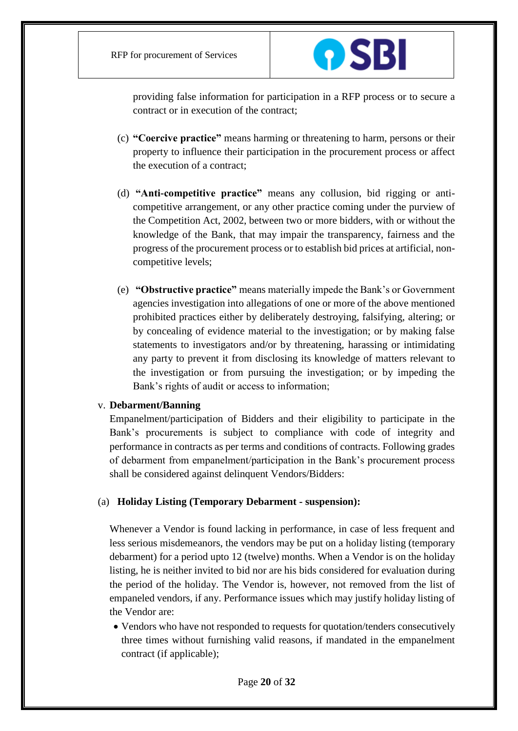

providing false information for participation in a RFP process or to secure a contract or in execution of the contract;

- (c) **"Coercive practice"** means harming or threatening to harm, persons or their property to influence their participation in the procurement process or affect the execution of a contract;
- (d) **"Anti-competitive practice"** means any collusion, bid rigging or anticompetitive arrangement, or any other practice coming under the purview of the Competition Act, 2002, between two or more bidders, with or without the knowledge of the Bank, that may impair the transparency, fairness and the progress of the procurement process or to establish bid prices at artificial, noncompetitive levels;
- (e) **"Obstructive practice"** means materially impede the Bank's or Government agencies investigation into allegations of one or more of the above mentioned prohibited practices either by deliberately destroying, falsifying, altering; or by concealing of evidence material to the investigation; or by making false statements to investigators and/or by threatening, harassing or intimidating any party to prevent it from disclosing its knowledge of matters relevant to the investigation or from pursuing the investigation; or by impeding the Bank's rights of audit or access to information;

#### v. **Debarment/Banning**

Empanelment/participation of Bidders and their eligibility to participate in the Bank's procurements is subject to compliance with code of integrity and performance in contracts as per terms and conditions of contracts. Following grades of debarment from empanelment/participation in the Bank's procurement process shall be considered against delinquent Vendors/Bidders:

#### (a) **Holiday Listing (Temporary Debarment - suspension):**

Whenever a Vendor is found lacking in performance, in case of less frequent and less serious misdemeanors, the vendors may be put on a holiday listing (temporary debarment) for a period upto 12 (twelve) months. When a Vendor is on the holiday listing, he is neither invited to bid nor are his bids considered for evaluation during the period of the holiday. The Vendor is, however, not removed from the list of empaneled vendors, if any. Performance issues which may justify holiday listing of the Vendor are:

 Vendors who have not responded to requests for quotation/tenders consecutively three times without furnishing valid reasons, if mandated in the empanelment contract (if applicable);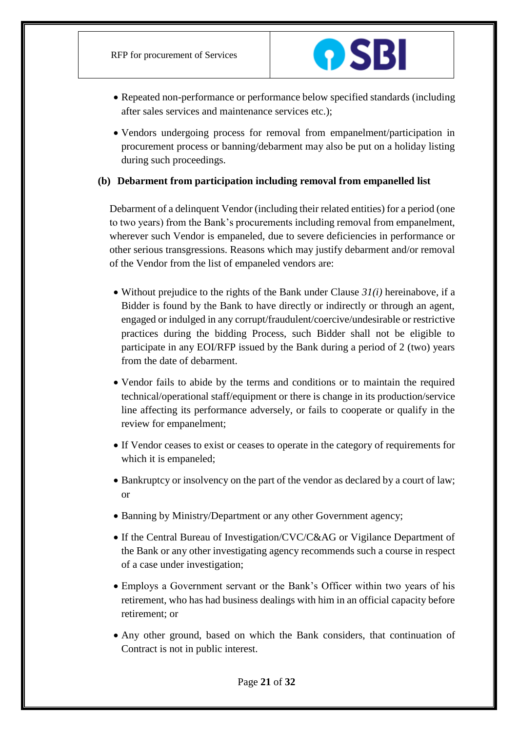

- Repeated non-performance or performance below specified standards (including after sales services and maintenance services etc.);
- Vendors undergoing process for removal from empanelment/participation in procurement process or banning/debarment may also be put on a holiday listing during such proceedings.

# **(b) Debarment from participation including removal from empanelled list**

Debarment of a delinquent Vendor (including their related entities) for a period (one to two years) from the Bank's procurements including removal from empanelment, wherever such Vendor is empaneled, due to severe deficiencies in performance or other serious transgressions. Reasons which may justify debarment and/or removal of the Vendor from the list of empaneled vendors are:

- $\bullet$  Without prejudice to the rights of the Bank under Clause  $3I(i)$  hereinabove, if a Bidder is found by the Bank to have directly or indirectly or through an agent, engaged or indulged in any corrupt/fraudulent/coercive/undesirable or restrictive practices during the bidding Process, such Bidder shall not be eligible to participate in any EOI/RFP issued by the Bank during a period of 2 (two) years from the date of debarment.
- Vendor fails to abide by the terms and conditions or to maintain the required technical/operational staff/equipment or there is change in its production/service line affecting its performance adversely, or fails to cooperate or qualify in the review for empanelment;
- If Vendor ceases to exist or ceases to operate in the category of requirements for which it is empaneled;
- Bankruptcy or insolvency on the part of the vendor as declared by a court of law; or
- Banning by Ministry/Department or any other Government agency;
- If the Central Bureau of Investigation/CVC/C&AG or Vigilance Department of the Bank or any other investigating agency recommends such a course in respect of a case under investigation;
- Employs a Government servant or the Bank's Officer within two years of his retirement, who has had business dealings with him in an official capacity before retirement; or
- Any other ground, based on which the Bank considers, that continuation of Contract is not in public interest.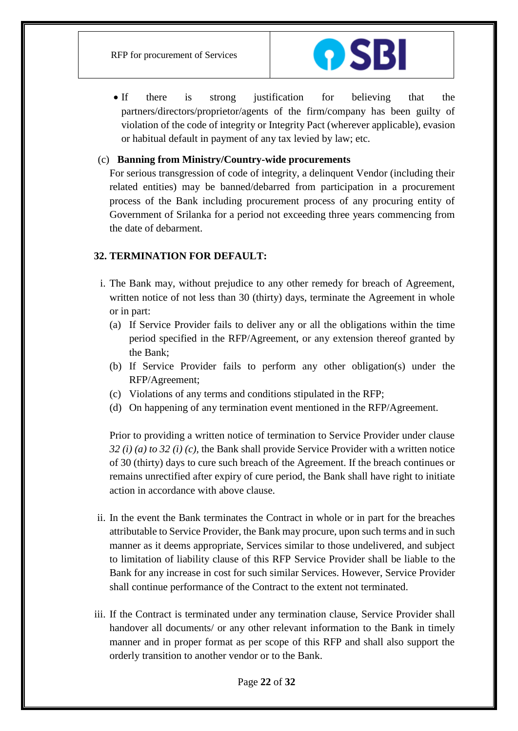

• If there is strong justification for believing that the partners/directors/proprietor/agents of the firm/company has been guilty of violation of the code of integrity or Integrity Pact (wherever applicable), evasion or habitual default in payment of any tax levied by law; etc.

# (c) **Banning from Ministry/Country-wide procurements**

For serious transgression of code of integrity, a delinquent Vendor (including their related entities) may be banned/debarred from participation in a procurement process of the Bank including procurement process of any procuring entity of Government of Srilanka for a period not exceeding three years commencing from the date of debarment.

## **32. TERMINATION FOR DEFAULT:**

- i. The Bank may, without prejudice to any other remedy for breach of Agreement, written notice of not less than 30 (thirty) days, terminate the Agreement in whole or in part:
	- (a) If Service Provider fails to deliver any or all the obligations within the time period specified in the RFP/Agreement, or any extension thereof granted by the Bank;
	- (b) If Service Provider fails to perform any other obligation(s) under the RFP/Agreement;
	- (c) Violations of any terms and conditions stipulated in the RFP;
	- (d) On happening of any termination event mentioned in the RFP/Agreement.

Prior to providing a written notice of termination to Service Provider under clause *32 (i) (a) to 32 (i) (c),* the Bank shall provide Service Provider with a written notice of 30 (thirty) days to cure such breach of the Agreement. If the breach continues or remains unrectified after expiry of cure period, the Bank shall have right to initiate action in accordance with above clause.

- ii. In the event the Bank terminates the Contract in whole or in part for the breaches attributable to Service Provider, the Bank may procure, upon such terms and in such manner as it deems appropriate, Services similar to those undelivered, and subject to limitation of liability clause of this RFP Service Provider shall be liable to the Bank for any increase in cost for such similar Services. However, Service Provider shall continue performance of the Contract to the extent not terminated.
- iii. If the Contract is terminated under any termination clause, Service Provider shall handover all documents/ or any other relevant information to the Bank in timely manner and in proper format as per scope of this RFP and shall also support the orderly transition to another vendor or to the Bank.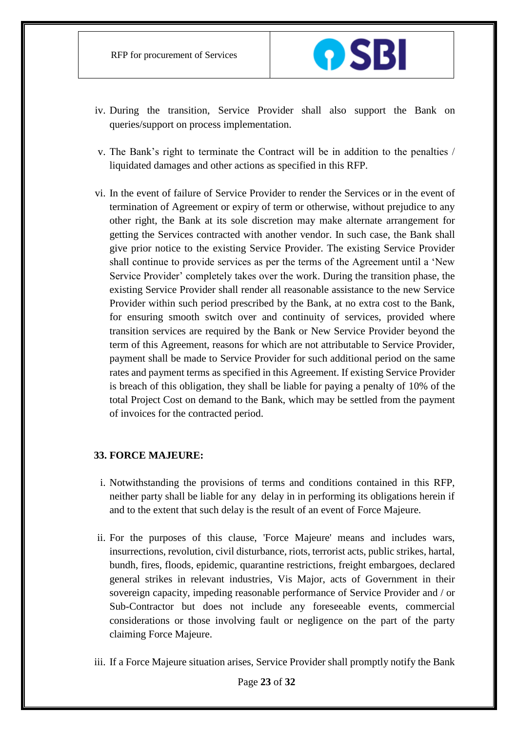

- iv. During the transition, Service Provider shall also support the Bank on queries/support on process implementation.
- v. The Bank's right to terminate the Contract will be in addition to the penalties / liquidated damages and other actions as specified in this RFP.
- vi. In the event of failure of Service Provider to render the Services or in the event of termination of Agreement or expiry of term or otherwise, without prejudice to any other right, the Bank at its sole discretion may make alternate arrangement for getting the Services contracted with another vendor. In such case, the Bank shall give prior notice to the existing Service Provider. The existing Service Provider shall continue to provide services as per the terms of the Agreement until a 'New Service Provider' completely takes over the work. During the transition phase, the existing Service Provider shall render all reasonable assistance to the new Service Provider within such period prescribed by the Bank, at no extra cost to the Bank, for ensuring smooth switch over and continuity of services, provided where transition services are required by the Bank or New Service Provider beyond the term of this Agreement, reasons for which are not attributable to Service Provider, payment shall be made to Service Provider for such additional period on the same rates and payment terms as specified in this Agreement. If existing Service Provider is breach of this obligation, they shall be liable for paying a penalty of 10% of the total Project Cost on demand to the Bank, which may be settled from the payment of invoices for the contracted period.

#### **33. FORCE MAJEURE:**

- i. Notwithstanding the provisions of terms and conditions contained in this RFP, neither party shall be liable for any delay in in performing its obligations herein if and to the extent that such delay is the result of an event of Force Majeure.
- ii. For the purposes of this clause, 'Force Majeure' means and includes wars, insurrections, revolution, civil disturbance, riots, terrorist acts, public strikes, hartal, bundh, fires, floods, epidemic, quarantine restrictions, freight embargoes, declared general strikes in relevant industries, Vis Major, acts of Government in their sovereign capacity, impeding reasonable performance of Service Provider and / or Sub-Contractor but does not include any foreseeable events, commercial considerations or those involving fault or negligence on the part of the party claiming Force Majeure.
- iii. If a Force Majeure situation arises, Service Provider shall promptly notify the Bank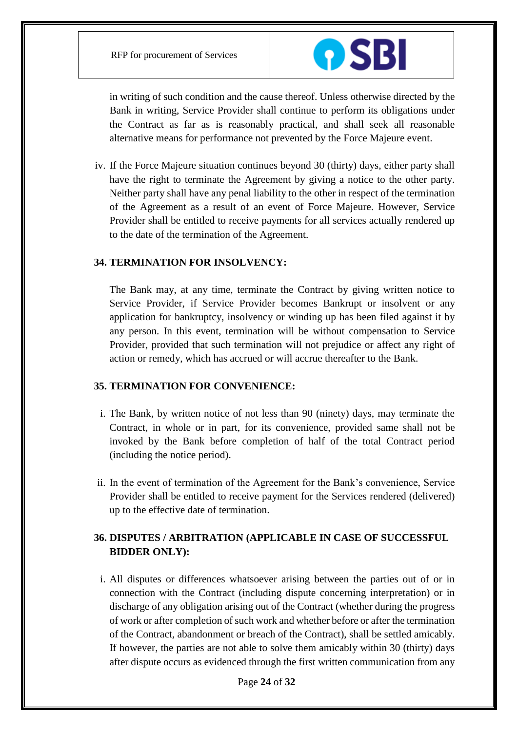

in writing of such condition and the cause thereof. Unless otherwise directed by the Bank in writing, Service Provider shall continue to perform its obligations under the Contract as far as is reasonably practical, and shall seek all reasonable alternative means for performance not prevented by the Force Majeure event.

iv. If the Force Majeure situation continues beyond 30 (thirty) days, either party shall have the right to terminate the Agreement by giving a notice to the other party. Neither party shall have any penal liability to the other in respect of the termination of the Agreement as a result of an event of Force Majeure. However, Service Provider shall be entitled to receive payments for all services actually rendered up to the date of the termination of the Agreement.

#### **34. TERMINATION FOR INSOLVENCY:**

The Bank may, at any time, terminate the Contract by giving written notice to Service Provider, if Service Provider becomes Bankrupt or insolvent or any application for bankruptcy, insolvency or winding up has been filed against it by any person. In this event, termination will be without compensation to Service Provider, provided that such termination will not prejudice or affect any right of action or remedy, which has accrued or will accrue thereafter to the Bank.

# **35. TERMINATION FOR CONVENIENCE:**

- i. The Bank, by written notice of not less than 90 (ninety) days, may terminate the Contract, in whole or in part, for its convenience, provided same shall not be invoked by the Bank before completion of half of the total Contract period (including the notice period).
- ii. In the event of termination of the Agreement for the Bank's convenience, Service Provider shall be entitled to receive payment for the Services rendered (delivered) up to the effective date of termination.

# **36. DISPUTES / ARBITRATION (APPLICABLE IN CASE OF SUCCESSFUL BIDDER ONLY):**

i. All disputes or differences whatsoever arising between the parties out of or in connection with the Contract (including dispute concerning interpretation) or in discharge of any obligation arising out of the Contract (whether during the progress of work or after completion of such work and whether before or after the termination of the Contract, abandonment or breach of the Contract), shall be settled amicably. If however, the parties are not able to solve them amicably within 30 (thirty) days after dispute occurs as evidenced through the first written communication from any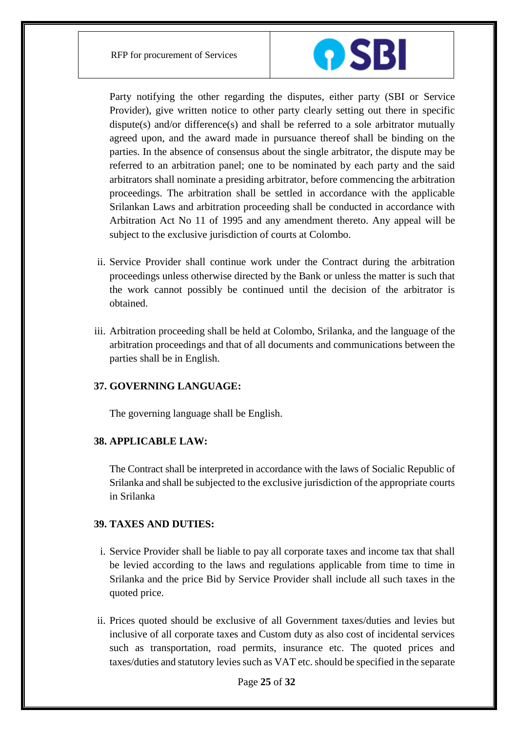

Party notifying the other regarding the disputes, either party (SBI or Service Provider), give written notice to other party clearly setting out there in specific dispute(s) and/or difference(s) and shall be referred to a sole arbitrator mutually agreed upon, and the award made in pursuance thereof shall be binding on the parties. In the absence of consensus about the single arbitrator, the dispute may be referred to an arbitration panel; one to be nominated by each party and the said arbitrators shall nominate a presiding arbitrator, before commencing the arbitration proceedings. The arbitration shall be settled in accordance with the applicable Srilankan Laws and arbitration proceeding shall be conducted in accordance with Arbitration Act No 11 of 1995 and any amendment thereto. Any appeal will be subject to the exclusive jurisdiction of courts at Colombo.

- ii. Service Provider shall continue work under the Contract during the arbitration proceedings unless otherwise directed by the Bank or unless the matter is such that the work cannot possibly be continued until the decision of the arbitrator is obtained.
- iii. Arbitration proceeding shall be held at Colombo, Srilanka, and the language of the arbitration proceedings and that of all documents and communications between the parties shall be in English.

# **37. GOVERNING LANGUAGE:**

The governing language shall be English.

# **38. APPLICABLE LAW:**

The Contract shall be interpreted in accordance with the laws of Socialic Republic of Srilanka and shall be subjected to the exclusive jurisdiction of the appropriate courts in Srilanka

# **39. TAXES AND DUTIES:**

- i. Service Provider shall be liable to pay all corporate taxes and income tax that shall be levied according to the laws and regulations applicable from time to time in Srilanka and the price Bid by Service Provider shall include all such taxes in the quoted price.
- ii. Prices quoted should be exclusive of all Government taxes/duties and levies but inclusive of all corporate taxes and Custom duty as also cost of incidental services such as transportation, road permits, insurance etc. The quoted prices and taxes/duties and statutory levies such as VAT etc. should be specified in the separate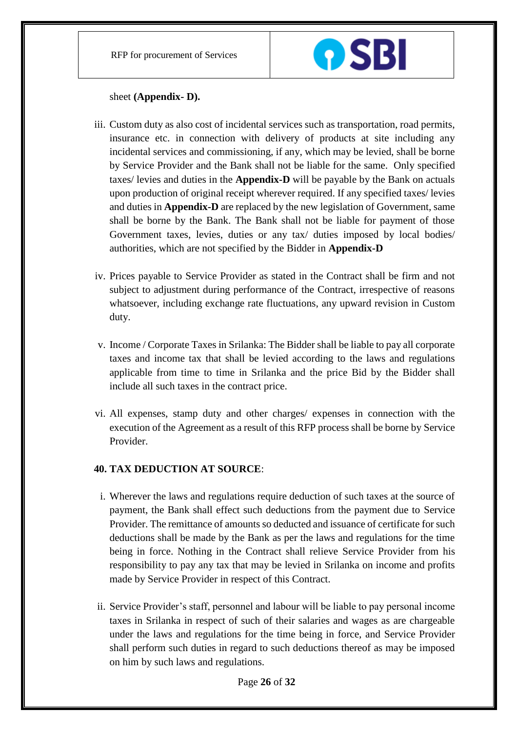

sheet **(Appendix- D).**

- iii. Custom duty as also cost of incidental services such as transportation, road permits, insurance etc. in connection with delivery of products at site including any incidental services and commissioning, if any, which may be levied, shall be borne by Service Provider and the Bank shall not be liable for the same. Only specified taxes/ levies and duties in the **Appendix-D** will be payable by the Bank on actuals upon production of original receipt wherever required. If any specified taxes/ levies and duties in **Appendix-D** are replaced by the new legislation of Government, same shall be borne by the Bank. The Bank shall not be liable for payment of those Government taxes, levies, duties or any tax/ duties imposed by local bodies/ authorities, which are not specified by the Bidder in **Appendix-D**
- iv. Prices payable to Service Provider as stated in the Contract shall be firm and not subject to adjustment during performance of the Contract, irrespective of reasons whatsoever, including exchange rate fluctuations, any upward revision in Custom duty.
- v. Income / Corporate Taxes in Srilanka: The Bidder shall be liable to pay all corporate taxes and income tax that shall be levied according to the laws and regulations applicable from time to time in Srilanka and the price Bid by the Bidder shall include all such taxes in the contract price.
- vi. All expenses, stamp duty and other charges/ expenses in connection with the execution of the Agreement as a result of this RFP process shall be borne by Service Provider.

# **40. TAX DEDUCTION AT SOURCE**:

- i. Wherever the laws and regulations require deduction of such taxes at the source of payment, the Bank shall effect such deductions from the payment due to Service Provider. The remittance of amounts so deducted and issuance of certificate for such deductions shall be made by the Bank as per the laws and regulations for the time being in force. Nothing in the Contract shall relieve Service Provider from his responsibility to pay any tax that may be levied in Srilanka on income and profits made by Service Provider in respect of this Contract.
- ii. Service Provider's staff, personnel and labour will be liable to pay personal income taxes in Srilanka in respect of such of their salaries and wages as are chargeable under the laws and regulations for the time being in force, and Service Provider shall perform such duties in regard to such deductions thereof as may be imposed on him by such laws and regulations.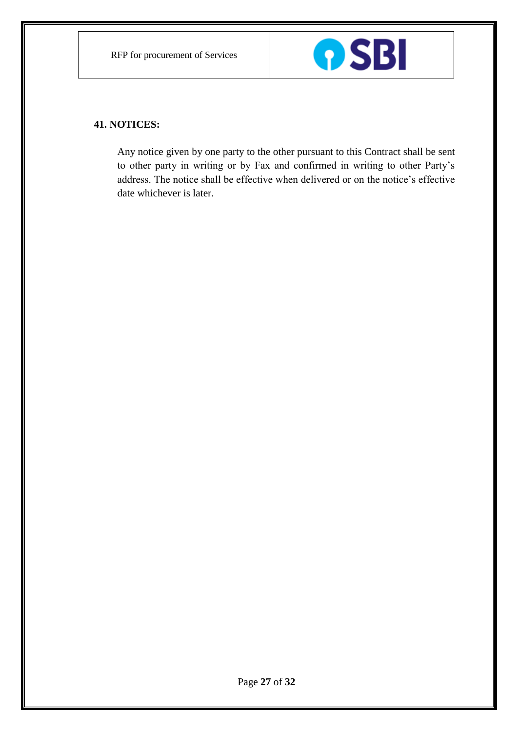

# **41. NOTICES:**

Any notice given by one party to the other pursuant to this Contract shall be sent to other party in writing or by Fax and confirmed in writing to other Party's address. The notice shall be effective when delivered or on the notice's effective date whichever is later.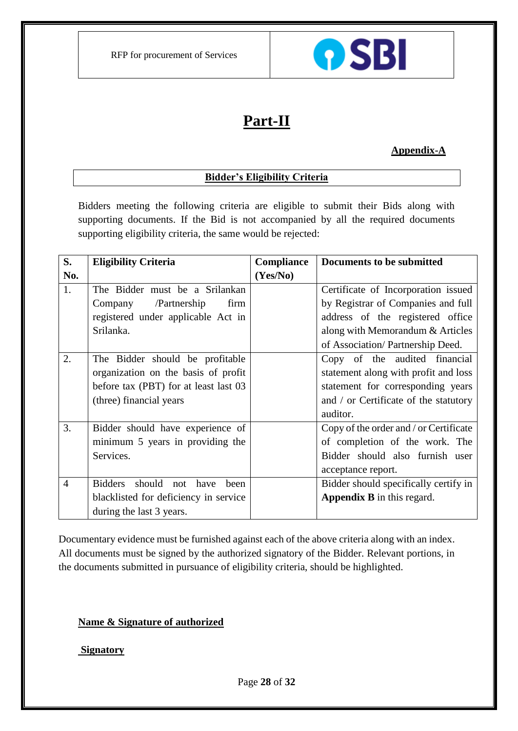

# **Part-II**

# **Appendix-A**

# **Bidder's Eligibility Criteria**

Bidders meeting the following criteria are eligible to submit their Bids along with supporting documents. If the Bid is not accompanied by all the required documents supporting eligibility criteria, the same would be rejected:

| S.             | <b>Eligibility Criteria</b>               | Compliance | <b>Documents to be submitted</b>       |
|----------------|-------------------------------------------|------------|----------------------------------------|
| No.            |                                           | (Yes/No)   |                                        |
| 1.             | The Bidder must be a Srilankan            |            | Certificate of Incorporation issued    |
|                | /Partnership<br>Company<br>firm           |            | by Registrar of Companies and full     |
|                | registered under applicable Act in        |            | address of the registered office       |
|                | Srilanka.                                 |            | along with Memorandum & Articles       |
|                |                                           |            | of Association/ Partnership Deed.      |
| 2.             | The Bidder should be profitable           |            | Copy of the audited financial          |
|                | organization on the basis of profit       |            | statement along with profit and loss   |
|                | before tax (PBT) for at least last 03     |            | statement for corresponding years      |
|                | (three) financial years                   |            | and / or Certificate of the statutory  |
|                |                                           |            | auditor.                               |
| 3.             | Bidder should have experience of          |            | Copy of the order and / or Certificate |
|                | minimum 5 years in providing the          |            | of completion of the work. The         |
|                | Services.                                 |            | Bidder should also furnish user        |
|                |                                           |            | acceptance report.                     |
| $\overline{4}$ | should not have<br><b>Bidders</b><br>heen |            | Bidder should specifically certify in  |
|                | blacklisted for deficiency in service     |            | <b>Appendix B</b> in this regard.      |
|                | during the last 3 years.                  |            |                                        |

Documentary evidence must be furnished against each of the above criteria along with an index. All documents must be signed by the authorized signatory of the Bidder. Relevant portions, in the documents submitted in pursuance of eligibility criteria, should be highlighted.

# **Name & Signature of authorized**

# **Signatory**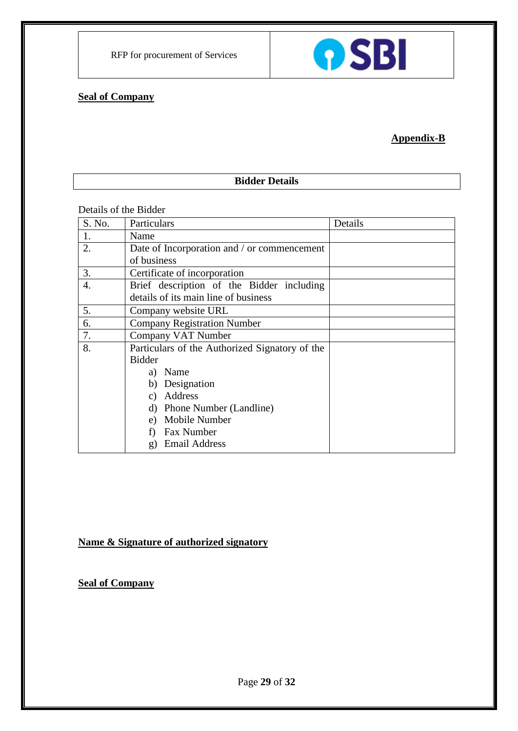# **Seal of Company**

# **Appendix-B**

**OSBI** 

# **Bidder Details**

# Details of the Bidder

| S. No.           | Particulars                                    | Details |
|------------------|------------------------------------------------|---------|
| 1.               | Name                                           |         |
| 2.               | Date of Incorporation and / or commencement    |         |
|                  | of business                                    |         |
| 3.               | Certificate of incorporation                   |         |
| $\overline{4}$ . | Brief description of the Bidder including      |         |
|                  | details of its main line of business           |         |
| 5.               | Company website URL                            |         |
| 6.               | <b>Company Registration Number</b>             |         |
| 7.               | Company VAT Number                             |         |
| 8.               | Particulars of the Authorized Signatory of the |         |
|                  | <b>Bidder</b>                                  |         |
|                  | a) Name                                        |         |
|                  | Designation<br>b)                              |         |
|                  | Address<br>C)                                  |         |
|                  | Phone Number (Landline)<br>d)                  |         |
|                  | Mobile Number<br>e)                            |         |
|                  | Fax Number                                     |         |
|                  | <b>Email Address</b><br>g)                     |         |

# **Name & Signature of authorized signatory**

**Seal of Company**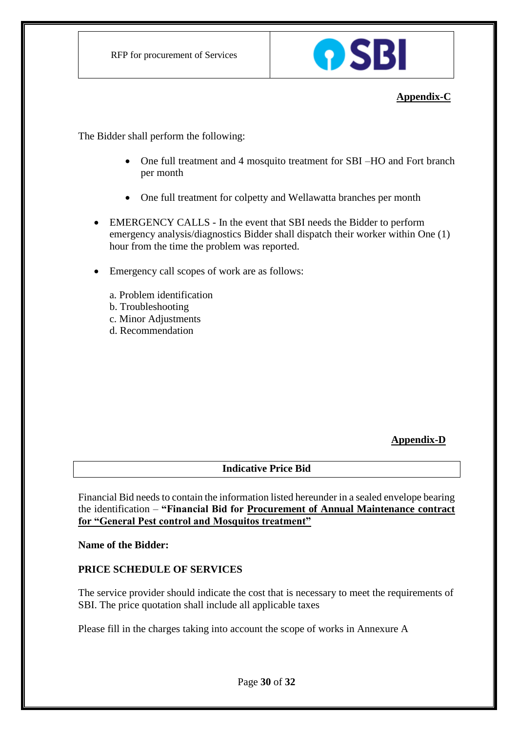

# **Appendix-C**

The Bidder shall perform the following:

- One full treatment and 4 mosquito treatment for SBI –HO and Fort branch per month
- One full treatment for colpetty and Wellawatta branches per month
- EMERGENCY CALLS In the event that SBI needs the Bidder to perform emergency analysis/diagnostics Bidder shall dispatch their worker within One (1) hour from the time the problem was reported.
- Emergency call scopes of work are as follows:
	- a. Problem identification
	- b. Troubleshooting
	- c. Minor Adjustments
	- d. Recommendation

# **Appendix-D**

# **Indicative Price Bid**

Financial Bid needs to contain the information listed hereunder in a sealed envelope bearing the identification – **"Financial Bid for Procurement of Annual Maintenance contract for "General Pest control and Mosquitos treatment"**

**Name of the Bidder:**

# **PRICE SCHEDULE OF SERVICES**

The service provider should indicate the cost that is necessary to meet the requirements of SBI. The price quotation shall include all applicable taxes

Please fill in the charges taking into account the scope of works in Annexure A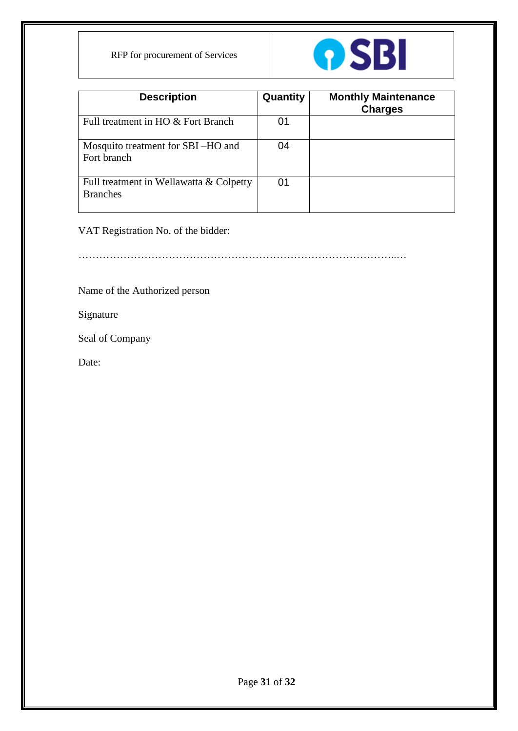RFP for procurement of Services



| <b>Description</b>                                         | Quantity | <b>Monthly Maintenance</b><br><b>Charges</b> |
|------------------------------------------------------------|----------|----------------------------------------------|
| Full treatment in HO & Fort Branch                         | 01       |                                              |
| Mosquito treatment for SBI-HO and<br>Fort branch           | 04       |                                              |
| Full treatment in Wellawatta & Colpetty<br><b>Branches</b> | 01       |                                              |

VAT Registration No. of the bidder:

………………………………………………………………………………..…

Name of the Authorized person

Signature

Seal of Company

Date: